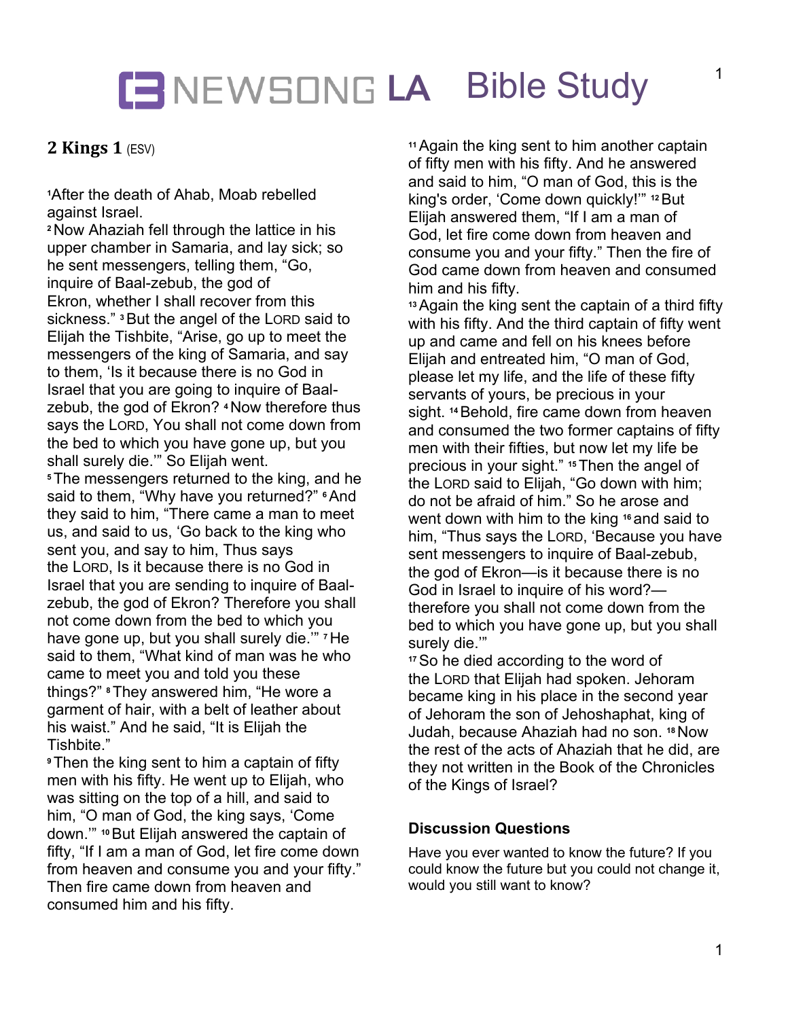# **LA** Bible Study

### **2 Kings 1 (ESV)**

**<sup>1</sup>**After the death of Ahab, Moab rebelled against Israel.

**<sup>2</sup>**Now Ahaziah fell through the lattice in his upper chamber in Samaria, and lay sick; so he sent messengers, telling them, "Go, inquire of Baal-zebub, the god of Ekron, whether I shall recover from this sickness." **<sup>3</sup>**But the angel of the LORD said to Elijah the Tishbite, "Arise, go up to meet the messengers of the king of Samaria, and say to them, 'Is it because there is no God in Israel that you are going to inquire of Baalzebub, the god of Ekron? **<sup>4</sup>**Now therefore thus says the LORD, You shall not come down from the bed to which you have gone up, but you shall surely die.'" So Elijah went.

**<sup>5</sup>**The messengers returned to the king, and he said to them, "Why have you returned?" **<sup>6</sup>**And they said to him, "There came a man to meet us, and said to us, 'Go back to the king who sent you, and say to him, Thus says the LORD, Is it because there is no God in Israel that you are sending to inquire of Baalzebub, the god of Ekron? Therefore you shall not come down from the bed to which you have gone up, but you shall surely die.'" **<sup>7</sup>**He said to them, "What kind of man was he who came to meet you and told you these things?" **<sup>8</sup>**They answered him, "He wore a garment of hair, with a belt of leather about his waist." And he said, "It is Elijah the Tishbite."

**<sup>9</sup>**Then the king sent to him a captain of fifty men with his fifty. He went up to Elijah, who was sitting on the top of a hill, and said to him, "O man of God, the king says, 'Come down.'" **<sup>10</sup>**But Elijah answered the captain of fifty, "If I am a man of God, let fire come down from heaven and consume you and your fifty." Then fire came down from heaven and consumed him and his fifty.

**<sup>11</sup>**Again the king sent to him another captain of fifty men with his fifty. And he answered and said to him, "O man of God, this is the king's order, 'Come down quickly!'" **<sup>12</sup>**But Elijah answered them, "If I am a man of God, let fire come down from heaven and consume you and your fifty." Then the fire of God came down from heaven and consumed him and his fifty.

**<sup>13</sup>**Again the king sent the captain of a third fifty with his fifty. And the third captain of fifty went up and came and fell on his knees before Elijah and entreated him, "O man of God, please let my life, and the life of these fifty servants of yours, be precious in your sight. **<sup>14</sup>**Behold, fire came down from heaven and consumed the two former captains of fifty men with their fifties, but now let my life be precious in your sight." **<sup>15</sup>**Then the angel of the LORD said to Elijah, "Go down with him; do not be afraid of him." So he arose and went down with him to the king <sup>16</sup> and said to him, "Thus says the LORD, 'Because you have sent messengers to inquire of Baal-zebub, the god of Ekron—is it because there is no God in Israel to inquire of his word? therefore you shall not come down from the bed to which you have gone up, but you shall surely die.'"

**<sup>17</sup>**So he died according to the word of the LORD that Elijah had spoken. Jehoram became king in his place in the second year of Jehoram the son of Jehoshaphat, king of Judah, because Ahaziah had no son. **<sup>18</sup>**Now the rest of the acts of Ahaziah that he did, are they not written in the Book of the Chronicles of the Kings of Israel?

#### **Discussion Questions**

Have you ever wanted to know the future? If you could know the future but you could not change it, would you still want to know?